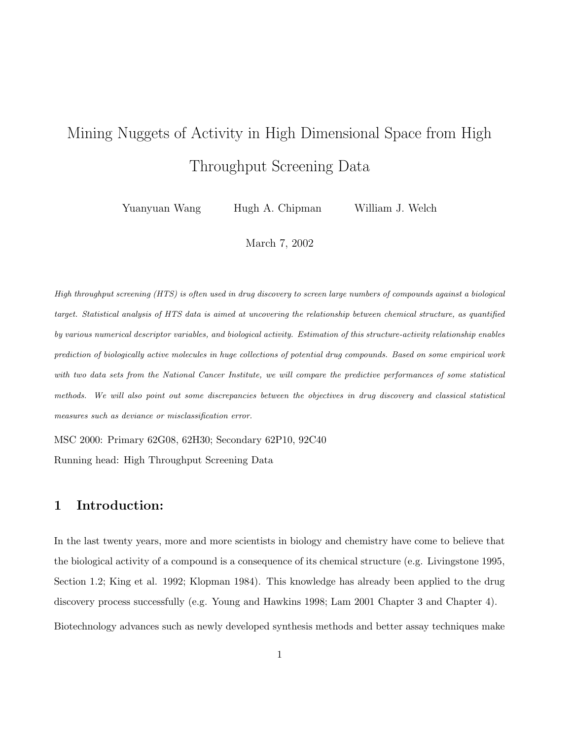# Mining Nuggets of Activity in High Dimensional Space from High Throughput Screening Data

Yuanyuan Wang Hugh A. Chipman William J. Welch

March 7, 2002

High throughput screening (HTS) is often used in drug discovery to screen large numbers of compounds against a biological target. Statistical analysis of HTS data is aimed at uncovering the relationship between chemical structure, as quantified by various numerical descriptor variables, and biological activity. Estimation of this structure-activity relationship enables prediction of biologically active molecules in huge collections of potential drug compounds. Based on some empirical work with two data sets from the National Cancer Institute, we will compare the predictive performances of some statistical methods. We will also point out some discrepancies between the objectives in drug discovery and classical statistical measures such as deviance or misclassification error.

MSC 2000: Primary 62G08, 62H30; Secondary 62P10, 92C40

Running head: High Throughput Screening Data

# 1 Introduction:

In the last twenty years, more and more scientists in biology and chemistry have come to believe that the biological activity of a compound is a consequence of its chemical structure (e.g. Livingstone 1995, Section 1.2; King et al. 1992; Klopman 1984). This knowledge has already been applied to the drug discovery process successfully (e.g. Young and Hawkins 1998; Lam 2001 Chapter 3 and Chapter 4). Biotechnology advances such as newly developed synthesis methods and better assay techniques make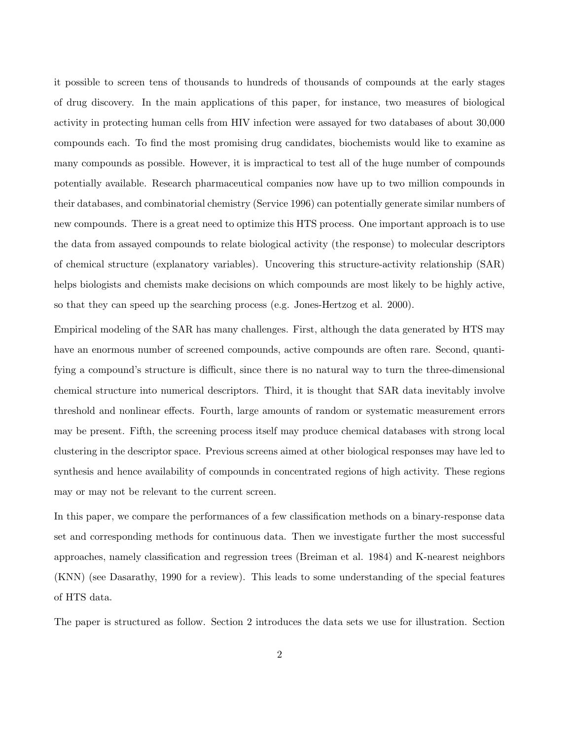it possible to screen tens of thousands to hundreds of thousands of compounds at the early stages of drug discovery. In the main applications of this paper, for instance, two measures of biological activity in protecting human cells from HIV infection were assayed for two databases of about 30,000 compounds each. To find the most promising drug candidates, biochemists would like to examine as many compounds as possible. However, it is impractical to test all of the huge number of compounds potentially available. Research pharmaceutical companies now have up to two million compounds in their databases, and combinatorial chemistry (Service 1996) can potentially generate similar numbers of new compounds. There is a great need to optimize this HTS process. One important approach is to use the data from assayed compounds to relate biological activity (the response) to molecular descriptors of chemical structure (explanatory variables). Uncovering this structure-activity relationship (SAR) helps biologists and chemists make decisions on which compounds are most likely to be highly active, so that they can speed up the searching process (e.g. Jones-Hertzog et al. 2000).

Empirical modeling of the SAR has many challenges. First, although the data generated by HTS may have an enormous number of screened compounds, active compounds are often rare. Second, quantifying a compound's structure is difficult, since there is no natural way to turn the three-dimensional chemical structure into numerical descriptors. Third, it is thought that SAR data inevitably involve threshold and nonlinear effects. Fourth, large amounts of random or systematic measurement errors may be present. Fifth, the screening process itself may produce chemical databases with strong local clustering in the descriptor space. Previous screens aimed at other biological responses may have led to synthesis and hence availability of compounds in concentrated regions of high activity. These regions may or may not be relevant to the current screen.

In this paper, we compare the performances of a few classification methods on a binary-response data set and corresponding methods for continuous data. Then we investigate further the most successful approaches, namely classification and regression trees (Breiman et al. 1984) and K-nearest neighbors (KNN) (see Dasarathy, 1990 for a review). This leads to some understanding of the special features of HTS data.

The paper is structured as follow. Section 2 introduces the data sets we use for illustration. Section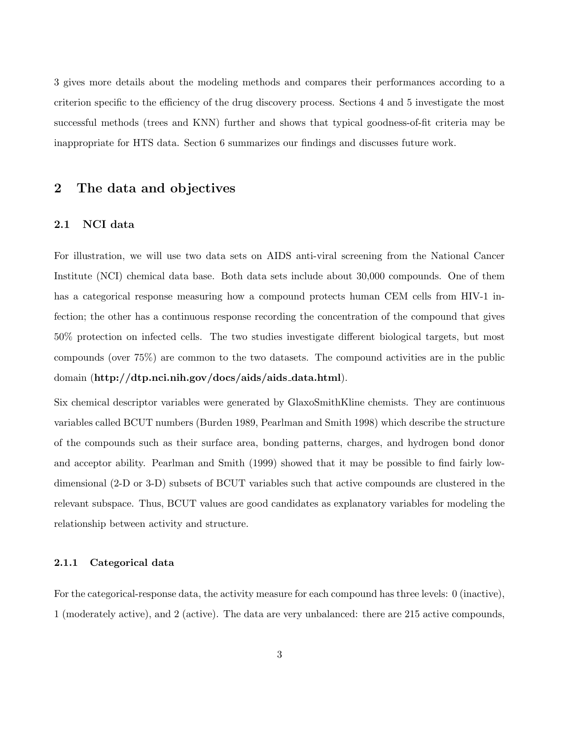3 gives more details about the modeling methods and compares their performances according to a criterion specific to the efficiency of the drug discovery process. Sections 4 and 5 investigate the most successful methods (trees and KNN) further and shows that typical goodness-of-fit criteria may be inappropriate for HTS data. Section 6 summarizes our findings and discusses future work.

# 2 The data and objectives

#### 2.1 NCI data

For illustration, we will use two data sets on AIDS anti-viral screening from the National Cancer Institute (NCI) chemical data base. Both data sets include about 30,000 compounds. One of them has a categorical response measuring how a compound protects human CEM cells from HIV-1 infection; the other has a continuous response recording the concentration of the compound that gives 50% protection on infected cells. The two studies investigate different biological targets, but most compounds (over 75%) are common to the two datasets. The compound activities are in the public domain (http://dtp.nci.nih.gov/docs/aids/aids data.html).

Six chemical descriptor variables were generated by GlaxoSmithKline chemists. They are continuous variables called BCUT numbers (Burden 1989, Pearlman and Smith 1998) which describe the structure of the compounds such as their surface area, bonding patterns, charges, and hydrogen bond donor and acceptor ability. Pearlman and Smith (1999) showed that it may be possible to find fairly lowdimensional (2-D or 3-D) subsets of BCUT variables such that active compounds are clustered in the relevant subspace. Thus, BCUT values are good candidates as explanatory variables for modeling the relationship between activity and structure.

#### 2.1.1 Categorical data

For the categorical-response data, the activity measure for each compound has three levels: 0 (inactive), 1 (moderately active), and 2 (active). The data are very unbalanced: there are 215 active compounds,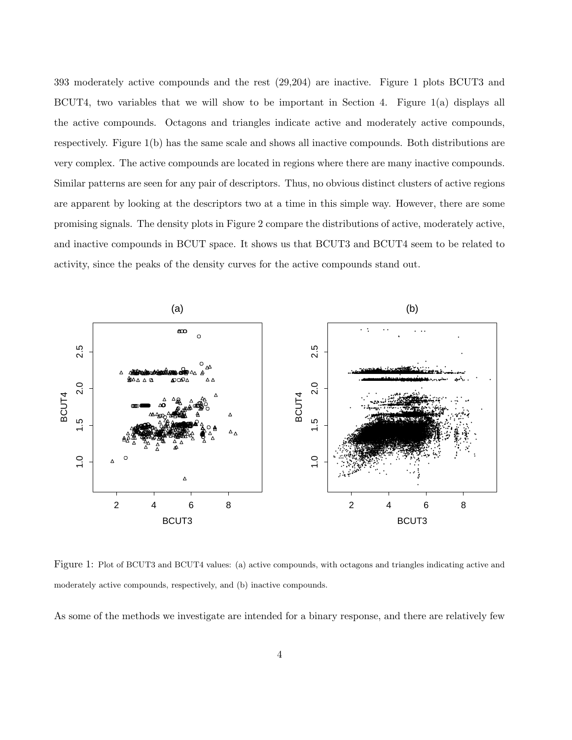393 moderately active compounds and the rest (29,204) are inactive. Figure 1 plots BCUT3 and BCUT4, two variables that we will show to be important in Section 4. Figure 1(a) displays all the active compounds. Octagons and triangles indicate active and moderately active compounds, respectively. Figure 1(b) has the same scale and shows all inactive compounds. Both distributions are very complex. The active compounds are located in regions where there are many inactive compounds. Similar patterns are seen for any pair of descriptors. Thus, no obvious distinct clusters of active regions are apparent by looking at the descriptors two at a time in this simple way. However, there are some promising signals. The density plots in Figure 2 compare the distributions of active, moderately active, and inactive compounds in BCUT space. It shows us that BCUT3 and BCUT4 seem to be related to activity, since the peaks of the density curves for the active compounds stand out.



Figure 1: Plot of BCUT3 and BCUT4 values: (a) active compounds, with octagons and triangles indicating active and moderately active compounds, respectively, and (b) inactive compounds.

As some of the methods we investigate are intended for a binary response, and there are relatively few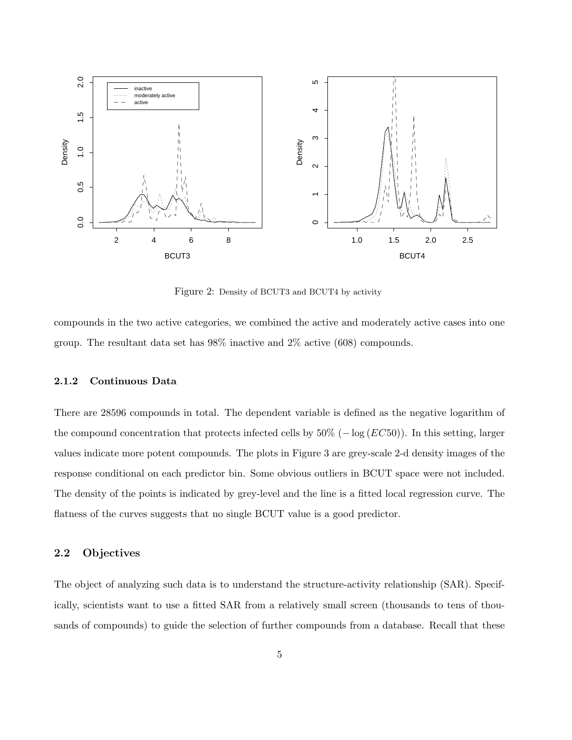

Figure 2: Density of BCUT3 and BCUT4 by activity

compounds in the two active categories, we combined the active and moderately active cases into one group. The resultant data set has 98% inactive and 2% active (608) compounds.

#### 2.1.2 Continuous Data

There are 28596 compounds in total. The dependent variable is defined as the negative logarithm of the compound concentration that protects infected cells by  $50\%$  ( $-\log (EC50)$ ). In this setting, larger values indicate more potent compounds. The plots in Figure 3 are grey-scale 2-d density images of the response conditional on each predictor bin. Some obvious outliers in BCUT space were not included. The density of the points is indicated by grey-level and the line is a fitted local regression curve. The flatness of the curves suggests that no single BCUT value is a good predictor.

#### 2.2 Objectives

The object of analyzing such data is to understand the structure-activity relationship (SAR). Specifically, scientists want to use a fitted SAR from a relatively small screen (thousands to tens of thousands of compounds) to guide the selection of further compounds from a database. Recall that these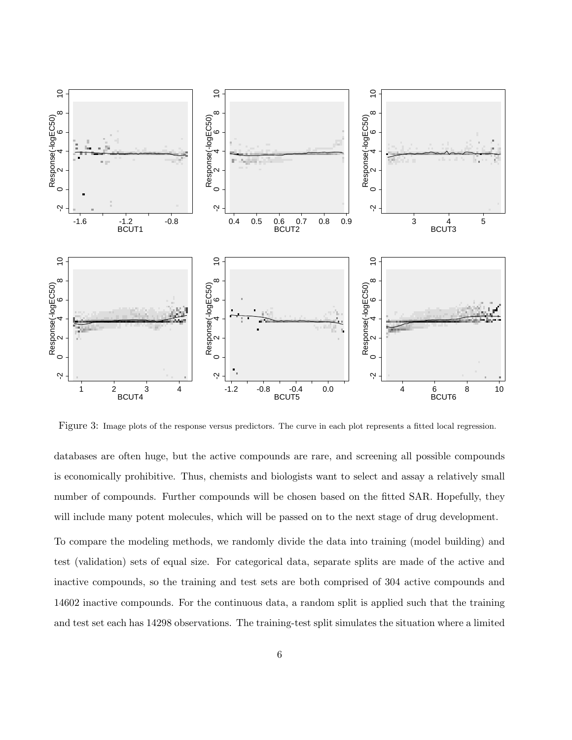

Figure 3: Image plots of the response versus predictors. The curve in each plot represents a fitted local regression.

databases are often huge, but the active compounds are rare, and screening all possible compounds is economically prohibitive. Thus, chemists and biologists want to select and assay a relatively small number of compounds. Further compounds will be chosen based on the fitted SAR. Hopefully, they will include many potent molecules, which will be passed on to the next stage of drug development.

To compare the modeling methods, we randomly divide the data into training (model building) and test (validation) sets of equal size. For categorical data, separate splits are made of the active and inactive compounds, so the training and test sets are both comprised of 304 active compounds and 14602 inactive compounds. For the continuous data, a random split is applied such that the training and test set each has 14298 observations. The training-test split simulates the situation where a limited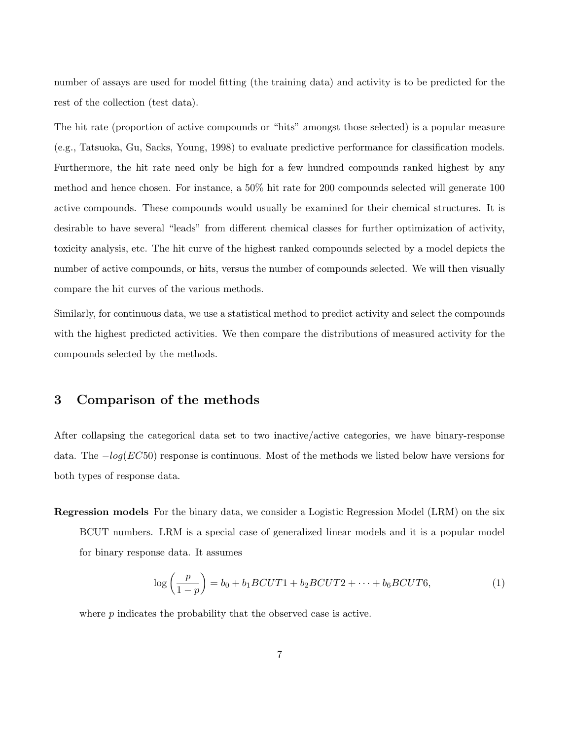number of assays are used for model fitting (the training data) and activity is to be predicted for the rest of the collection (test data).

The hit rate (proportion of active compounds or "hits" amongst those selected) is a popular measure (e.g., Tatsuoka, Gu, Sacks, Young, 1998) to evaluate predictive performance for classification models. Furthermore, the hit rate need only be high for a few hundred compounds ranked highest by any method and hence chosen. For instance, a 50% hit rate for 200 compounds selected will generate 100 active compounds. These compounds would usually be examined for their chemical structures. It is desirable to have several "leads" from different chemical classes for further optimization of activity, toxicity analysis, etc. The hit curve of the highest ranked compounds selected by a model depicts the number of active compounds, or hits, versus the number of compounds selected. We will then visually compare the hit curves of the various methods.

Similarly, for continuous data, we use a statistical method to predict activity and select the compounds with the highest predicted activities. We then compare the distributions of measured activity for the compounds selected by the methods.

# 3 Comparison of the methods

After collapsing the categorical data set to two inactive/active categories, we have binary-response data. The  $-log(EC50)$  response is continuous. Most of the methods we listed below have versions for both types of response data.

Regression models For the binary data, we consider a Logistic Regression Model (LRM) on the six BCUT numbers. LRM is a special case of generalized linear models and it is a popular model for binary response data. It assumes

$$
\log\left(\frac{p}{1-p}\right) = b_0 + b_1 BCVT1 + b_2 BCVT2 + \dots + b_6 BCVT6,\tag{1}
$$

where p indicates the probability that the observed case is active.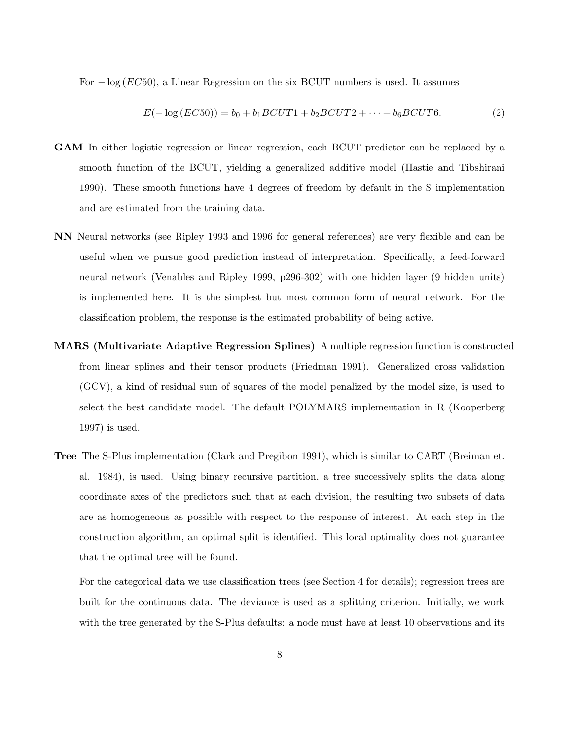For  $-\log(EC50)$ , a Linear Regression on the six BCUT numbers is used. It assumes

$$
E(-\log(EC50)) = b_0 + b_1 BCVT1 + b_2 BCVT2 + \dots + b_6 BCVT6.
$$
 (2)

- GAM In either logistic regression or linear regression, each BCUT predictor can be replaced by a smooth function of the BCUT, yielding a generalized additive model (Hastie and Tibshirani 1990). These smooth functions have 4 degrees of freedom by default in the S implementation and are estimated from the training data.
- NN Neural networks (see Ripley 1993 and 1996 for general references) are very flexible and can be useful when we pursue good prediction instead of interpretation. Specifically, a feed-forward neural network (Venables and Ripley 1999, p296-302) with one hidden layer (9 hidden units) is implemented here. It is the simplest but most common form of neural network. For the classification problem, the response is the estimated probability of being active.
- MARS (Multivariate Adaptive Regression Splines) A multiple regression function is constructed from linear splines and their tensor products (Friedman 1991). Generalized cross validation (GCV), a kind of residual sum of squares of the model penalized by the model size, is used to select the best candidate model. The default POLYMARS implementation in R (Kooperberg 1997) is used.
- Tree The S-Plus implementation (Clark and Pregibon 1991), which is similar to CART (Breiman et. al. 1984), is used. Using binary recursive partition, a tree successively splits the data along coordinate axes of the predictors such that at each division, the resulting two subsets of data are as homogeneous as possible with respect to the response of interest. At each step in the construction algorithm, an optimal split is identified. This local optimality does not guarantee that the optimal tree will be found.

For the categorical data we use classification trees (see Section 4 for details); regression trees are built for the continuous data. The deviance is used as a splitting criterion. Initially, we work with the tree generated by the S-Plus defaults: a node must have at least 10 observations and its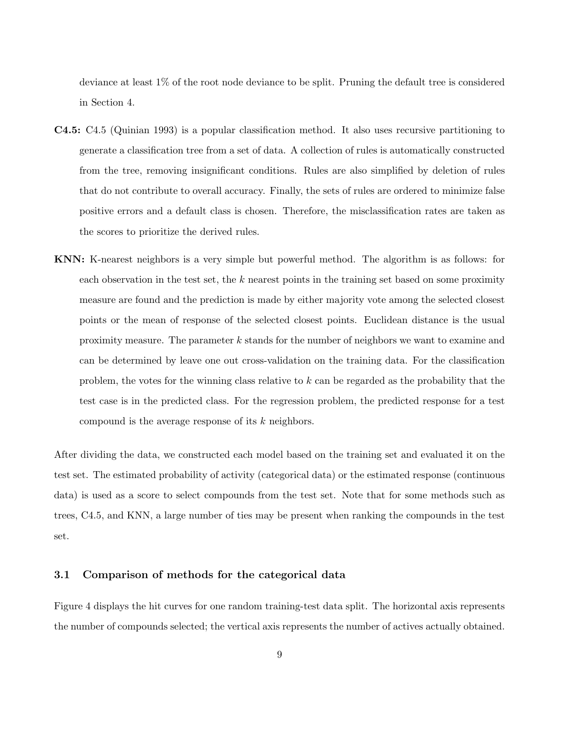deviance at least 1% of the root node deviance to be split. Pruning the default tree is considered in Section 4.

- C4.5: C4.5 (Quinian 1993) is a popular classification method. It also uses recursive partitioning to generate a classification tree from a set of data. A collection of rules is automatically constructed from the tree, removing insignificant conditions. Rules are also simplified by deletion of rules that do not contribute to overall accuracy. Finally, the sets of rules are ordered to minimize false positive errors and a default class is chosen. Therefore, the misclassification rates are taken as the scores to prioritize the derived rules.
- KNN: K-nearest neighbors is a very simple but powerful method. The algorithm is as follows: for each observation in the test set, the  $k$  nearest points in the training set based on some proximity measure are found and the prediction is made by either majority vote among the selected closest points or the mean of response of the selected closest points. Euclidean distance is the usual proximity measure. The parameter k stands for the number of neighbors we want to examine and can be determined by leave one out cross-validation on the training data. For the classification problem, the votes for the winning class relative to k can be regarded as the probability that the test case is in the predicted class. For the regression problem, the predicted response for a test compound is the average response of its k neighbors.

After dividing the data, we constructed each model based on the training set and evaluated it on the test set. The estimated probability of activity (categorical data) or the estimated response (continuous data) is used as a score to select compounds from the test set. Note that for some methods such as trees, C4.5, and KNN, a large number of ties may be present when ranking the compounds in the test set.

#### 3.1 Comparison of methods for the categorical data

Figure 4 displays the hit curves for one random training-test data split. The horizontal axis represents the number of compounds selected; the vertical axis represents the number of actives actually obtained.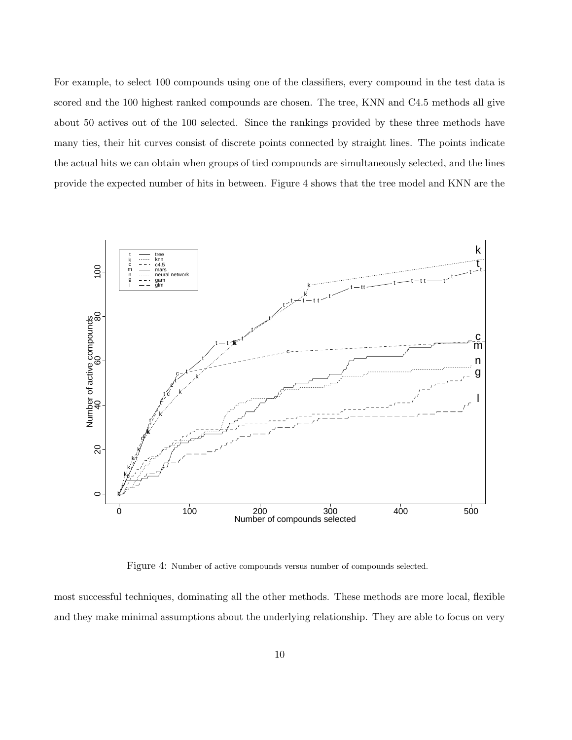For example, to select 100 compounds using one of the classifiers, every compound in the test data is scored and the 100 highest ranked compounds are chosen. The tree, KNN and C4.5 methods all give about 50 actives out of the 100 selected. Since the rankings provided by these three methods have many ties, their hit curves consist of discrete points connected by straight lines. The points indicate the actual hits we can obtain when groups of tied compounds are simultaneously selected, and the lines provide the expected number of hits in between. Figure 4 shows that the tree model and KNN are the



Figure 4: Number of active compounds versus number of compounds selected.

most successful techniques, dominating all the other methods. These methods are more local, flexible and they make minimal assumptions about the underlying relationship. They are able to focus on very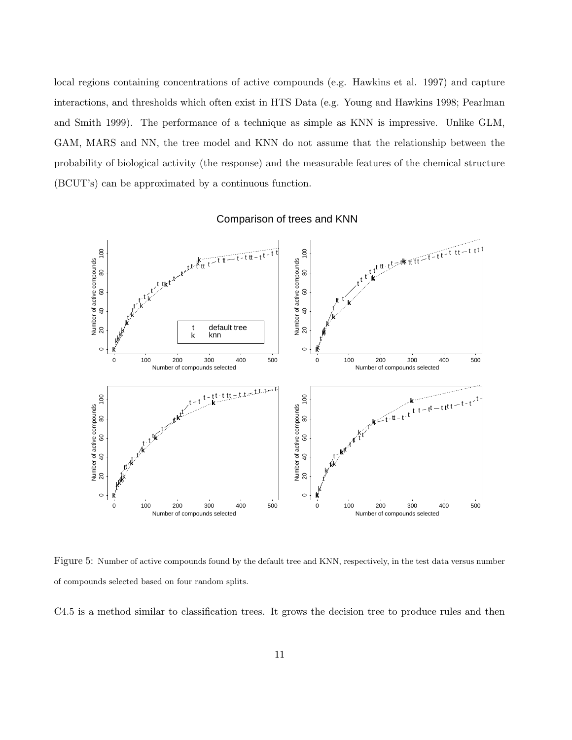local regions containing concentrations of active compounds (e.g. Hawkins et al. 1997) and capture interactions, and thresholds which often exist in HTS Data (e.g. Young and Hawkins 1998; Pearlman and Smith 1999). The performance of a technique as simple as KNN is impressive. Unlike GLM, GAM, MARS and NN, the tree model and KNN do not assume that the relationship between the probability of biological activity (the response) and the measurable features of the chemical structure (BCUT's) can be approximated by a continuous function.



Comparison of trees and KNN

Figure 5: Number of active compounds found by the default tree and KNN, respectively, in the test data versus number of compounds selected based on four random splits.

C4.5 is a method similar to classification trees. It grows the decision tree to produce rules and then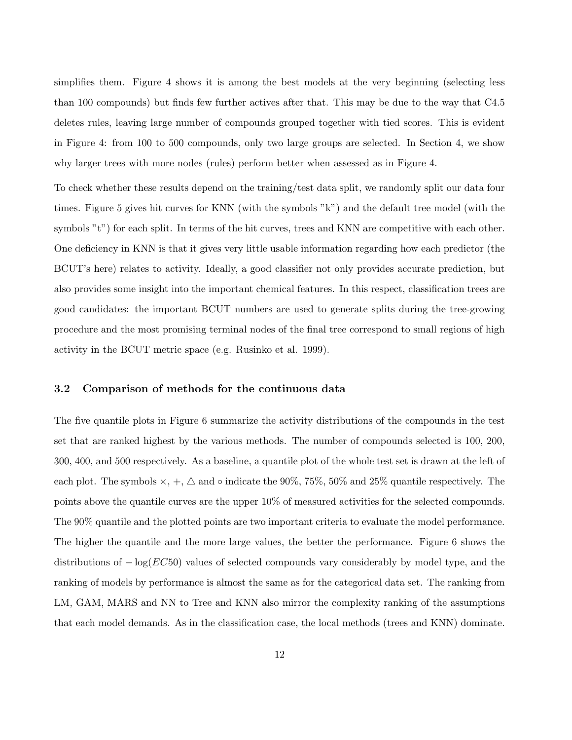simplifies them. Figure 4 shows it is among the best models at the very beginning (selecting less than 100 compounds) but finds few further actives after that. This may be due to the way that C4.5 deletes rules, leaving large number of compounds grouped together with tied scores. This is evident in Figure 4: from 100 to 500 compounds, only two large groups are selected. In Section 4, we show why larger trees with more nodes (rules) perform better when assessed as in Figure 4.

To check whether these results depend on the training/test data split, we randomly split our data four times. Figure 5 gives hit curves for KNN (with the symbols "k") and the default tree model (with the symbols "t") for each split. In terms of the hit curves, trees and KNN are competitive with each other. One deficiency in KNN is that it gives very little usable information regarding how each predictor (the BCUT's here) relates to activity. Ideally, a good classifier not only provides accurate prediction, but also provides some insight into the important chemical features. In this respect, classification trees are good candidates: the important BCUT numbers are used to generate splits during the tree-growing procedure and the most promising terminal nodes of the final tree correspond to small regions of high activity in the BCUT metric space (e.g. Rusinko et al. 1999).

#### 3.2 Comparison of methods for the continuous data

The five quantile plots in Figure 6 summarize the activity distributions of the compounds in the test set that are ranked highest by the various methods. The number of compounds selected is 100, 200, 300, 400, and 500 respectively. As a baseline, a quantile plot of the whole test set is drawn at the left of each plot. The symbols  $\times$ ,  $+$ ,  $\Delta$  and  $\circ$  indicate the 90%, 75%, 50% and 25% quantile respectively. The points above the quantile curves are the upper 10% of measured activities for the selected compounds. The 90% quantile and the plotted points are two important criteria to evaluate the model performance. The higher the quantile and the more large values, the better the performance. Figure 6 shows the distributions of  $-\log(EC50)$  values of selected compounds vary considerably by model type, and the ranking of models by performance is almost the same as for the categorical data set. The ranking from LM, GAM, MARS and NN to Tree and KNN also mirror the complexity ranking of the assumptions that each model demands. As in the classification case, the local methods (trees and KNN) dominate.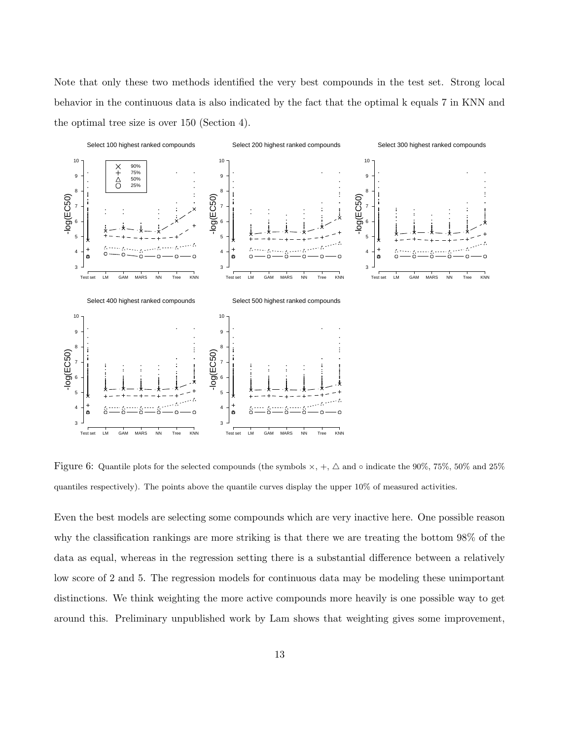Note that only these two methods identified the very best compounds in the test set. Strong local behavior in the continuous data is also indicated by the fact that the optimal k equals 7 in KNN and the optimal tree size is over 150 (Section 4).



Figure 6: Quantile plots for the selected compounds (the symbols  $\times$ , +,  $\Delta$  and  $\circ$  indicate the 90%, 75%, 50% and 25% quantiles respectively). The points above the quantile curves display the upper 10% of measured activities.

Even the best models are selecting some compounds which are very inactive here. One possible reason why the classification rankings are more striking is that there we are treating the bottom 98% of the data as equal, whereas in the regression setting there is a substantial difference between a relatively low score of 2 and 5. The regression models for continuous data may be modeling these unimportant distinctions. We think weighting the more active compounds more heavily is one possible way to get around this. Preliminary unpublished work by Lam shows that weighting gives some improvement,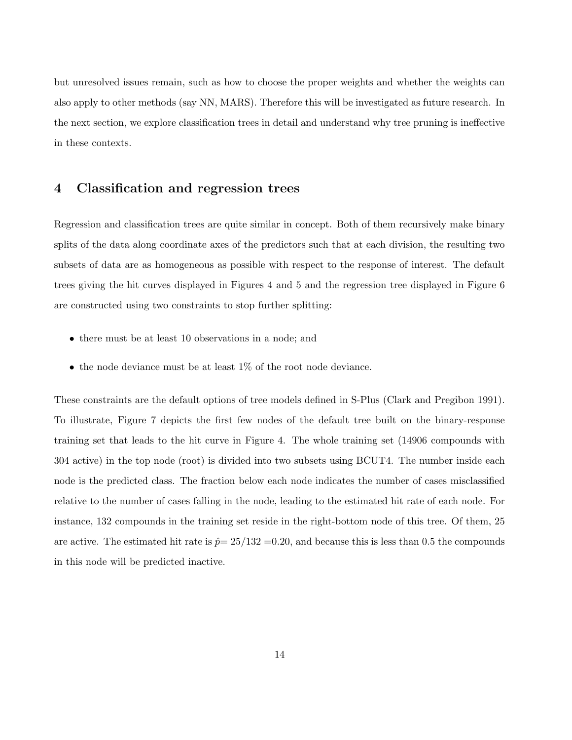but unresolved issues remain, such as how to choose the proper weights and whether the weights can also apply to other methods (say NN, MARS). Therefore this will be investigated as future research. In the next section, we explore classification trees in detail and understand why tree pruning is ineffective in these contexts.

## 4 Classification and regression trees

Regression and classification trees are quite similar in concept. Both of them recursively make binary splits of the data along coordinate axes of the predictors such that at each division, the resulting two subsets of data are as homogeneous as possible with respect to the response of interest. The default trees giving the hit curves displayed in Figures 4 and 5 and the regression tree displayed in Figure 6 are constructed using two constraints to stop further splitting:

- there must be at least 10 observations in a node; and
- $\bullet\,$  the node deviance must be at least 1% of the root node deviance.

These constraints are the default options of tree models defined in S-Plus (Clark and Pregibon 1991). To illustrate, Figure 7 depicts the first few nodes of the default tree built on the binary-response training set that leads to the hit curve in Figure 4. The whole training set (14906 compounds with 304 active) in the top node (root) is divided into two subsets using BCUT4. The number inside each node is the predicted class. The fraction below each node indicates the number of cases misclassified relative to the number of cases falling in the node, leading to the estimated hit rate of each node. For instance, 132 compounds in the training set reside in the right-bottom node of this tree. Of them, 25 are active. The estimated hit rate is  $\hat{p} = 25/132 = 0.20$ , and because this is less than 0.5 the compounds in this node will be predicted inactive.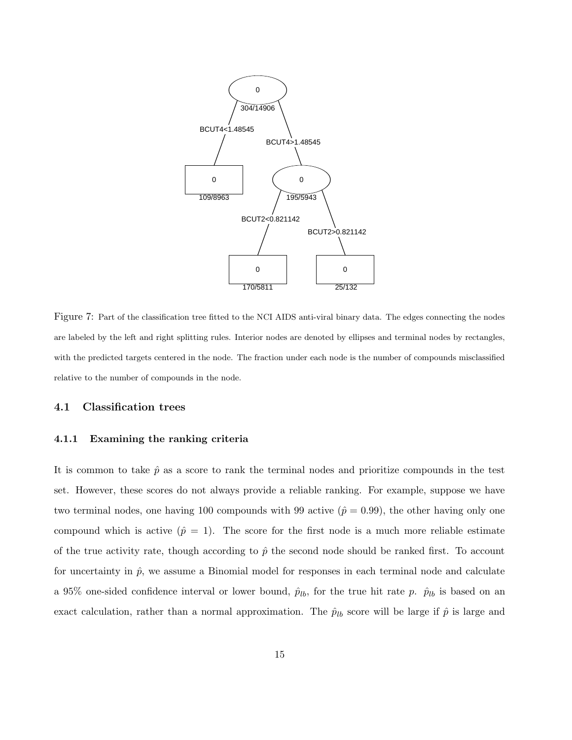

Figure 7: Part of the classification tree fitted to the NCI AIDS anti-viral binary data. The edges connecting the nodes are labeled by the left and right splitting rules. Interior nodes are denoted by ellipses and terminal nodes by rectangles, with the predicted targets centered in the node. The fraction under each node is the number of compounds misclassified relative to the number of compounds in the node.

#### 4.1 Classification trees

#### 4.1.1 Examining the ranking criteria

It is common to take  $\hat{p}$  as a score to rank the terminal nodes and prioritize compounds in the test set. However, these scores do not always provide a reliable ranking. For example, suppose we have two terminal nodes, one having 100 compounds with 99 active  $(\hat{p} = 0.99)$ , the other having only one compound which is active  $(p = 1)$ . The score for the first node is a much more reliable estimate of the true activity rate, though according to  $\hat{p}$  the second node should be ranked first. To account for uncertainty in  $\hat{p}$ , we assume a Binomial model for responses in each terminal node and calculate a 95% one-sided confidence interval or lower bound,  $\hat{p}_{lb}$ , for the true hit rate p.  $\hat{p}_{lb}$  is based on an exact calculation, rather than a normal approximation. The  $\hat{p}_{lb}$  score will be large if  $\hat{p}$  is large and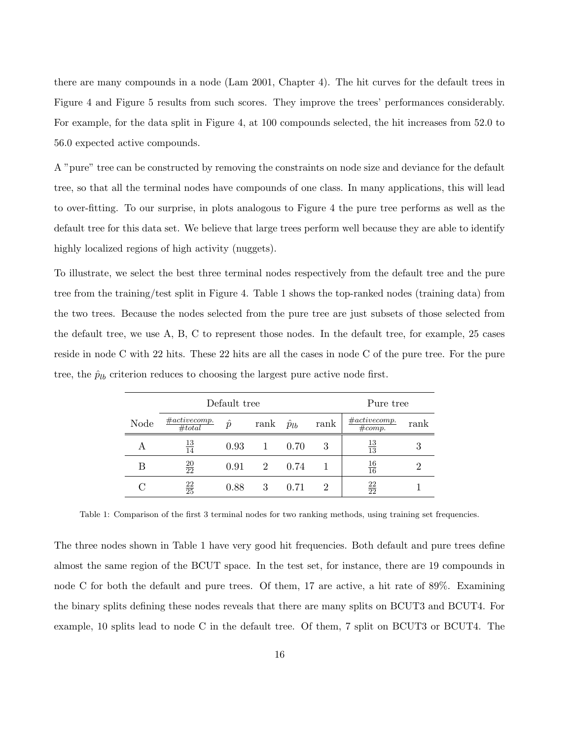there are many compounds in a node (Lam 2001, Chapter 4). The hit curves for the default trees in Figure 4 and Figure 5 results from such scores. They improve the trees' performances considerably. For example, for the data split in Figure 4, at 100 compounds selected, the hit increases from 52.0 to 56.0 expected active compounds.

A "pure" tree can be constructed by removing the constraints on node size and deviance for the default tree, so that all the terminal nodes have compounds of one class. In many applications, this will lead to over-fitting. To our surprise, in plots analogous to Figure 4 the pure tree performs as well as the default tree for this data set. We believe that large trees perform well because they are able to identify highly localized regions of high activity (nuggets).

To illustrate, we select the best three terminal nodes respectively from the default tree and the pure tree from the training/test split in Figure 4. Table 1 shows the top-ranked nodes (training data) from the two trees. Because the nodes selected from the pure tree are just subsets of those selected from the default tree, we use A, B, C to represent those nodes. In the default tree, for example, 25 cases reside in node C with 22 hits. These 22 hits are all the cases in node C of the pure tree. For the pure tree, the  $\hat{p}_{lb}$  criterion reduces to choosing the largest pure active node first.

|      | Default tree               |           |      |                |      | Pure tree                  |      |
|------|----------------------------|-----------|------|----------------|------|----------------------------|------|
| Node | $\#active comp.$<br>#total | $\hat{p}$ | rank | $\hat{p}_{lb}$ | rank | $\#active comp.$<br>#comp. | rank |
| А    | $\frac{13}{14}$            | 0.93      |      | 0.70           | 3    | $\frac{13}{13}$            |      |
| В    | $\frac{20}{22}$            | 0.91      | 2    | 0.74           |      | $\frac{16}{16}$            |      |
|      | $\frac{22}{25}$            | 0.88      | 3    | 0.71           | 2    | $\frac{22}{22}$            |      |

Table 1: Comparison of the first 3 terminal nodes for two ranking methods, using training set frequencies.

The three nodes shown in Table 1 have very good hit frequencies. Both default and pure trees define almost the same region of the BCUT space. In the test set, for instance, there are 19 compounds in node C for both the default and pure trees. Of them, 17 are active, a hit rate of 89%. Examining the binary splits defining these nodes reveals that there are many splits on BCUT3 and BCUT4. For example, 10 splits lead to node C in the default tree. Of them, 7 split on BCUT3 or BCUT4. The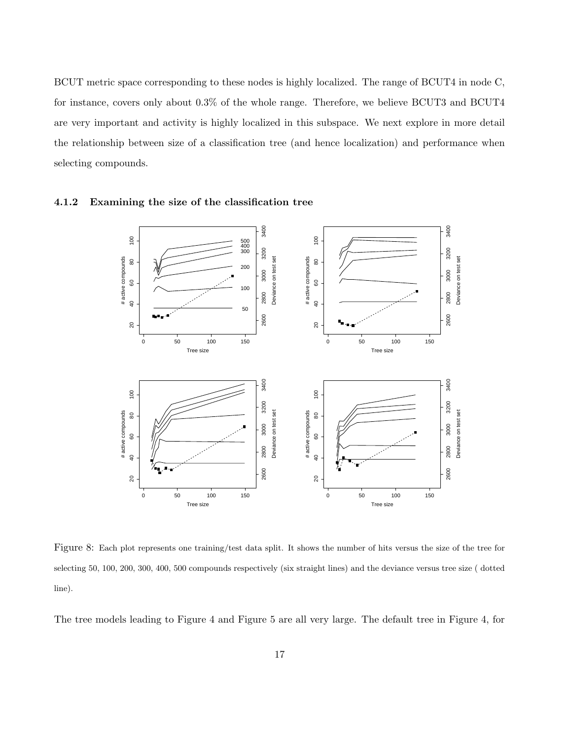BCUT metric space corresponding to these nodes is highly localized. The range of BCUT4 in node C, for instance, covers only about 0.3% of the whole range. Therefore, we believe BCUT3 and BCUT4 are very important and activity is highly localized in this subspace. We next explore in more detail the relationship between size of a classification tree (and hence localization) and performance when selecting compounds.



#### 4.1.2 Examining the size of the classification tree

Figure 8: Each plot represents one training/test data split. It shows the number of hits versus the size of the tree for selecting 50, 100, 200, 300, 400, 500 compounds respectively (six straight lines) and the deviance versus tree size ( dotted line).

The tree models leading to Figure 4 and Figure 5 are all very large. The default tree in Figure 4, for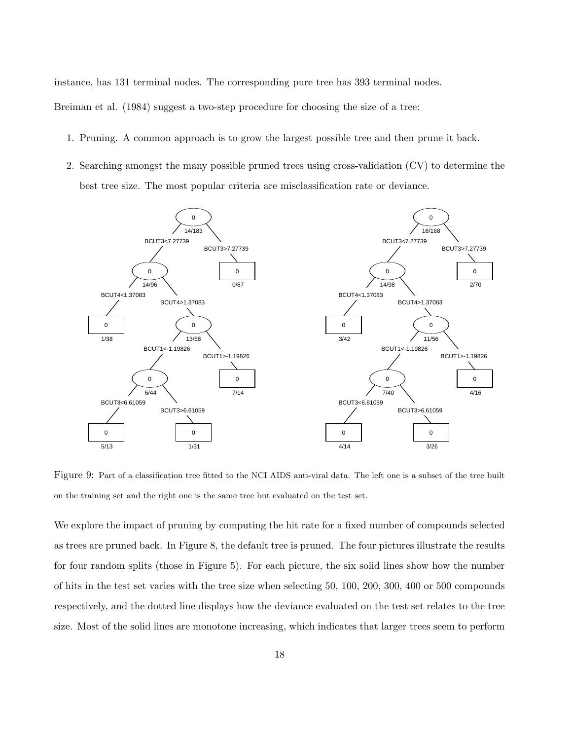instance, has 131 terminal nodes. The corresponding pure tree has 393 terminal nodes.

Breiman et al. (1984) suggest a two-step procedure for choosing the size of a tree:

- 1. Pruning. A common approach is to grow the largest possible tree and then prune it back.
- 2. Searching amongst the many possible pruned trees using cross-validation (CV) to determine the best tree size. The most popular criteria are misclassification rate or deviance.



Figure 9: Part of a classification tree fitted to the NCI AIDS anti-viral data. The left one is a subset of the tree built on the training set and the right one is the same tree but evaluated on the test set.

We explore the impact of pruning by computing the hit rate for a fixed number of compounds selected as trees are pruned back. In Figure 8, the default tree is pruned. The four pictures illustrate the results for four random splits (those in Figure 5). For each picture, the six solid lines show how the number of hits in the test set varies with the tree size when selecting 50, 100, 200, 300, 400 or 500 compounds respectively, and the dotted line displays how the deviance evaluated on the test set relates to the tree size. Most of the solid lines are monotone increasing, which indicates that larger trees seem to perform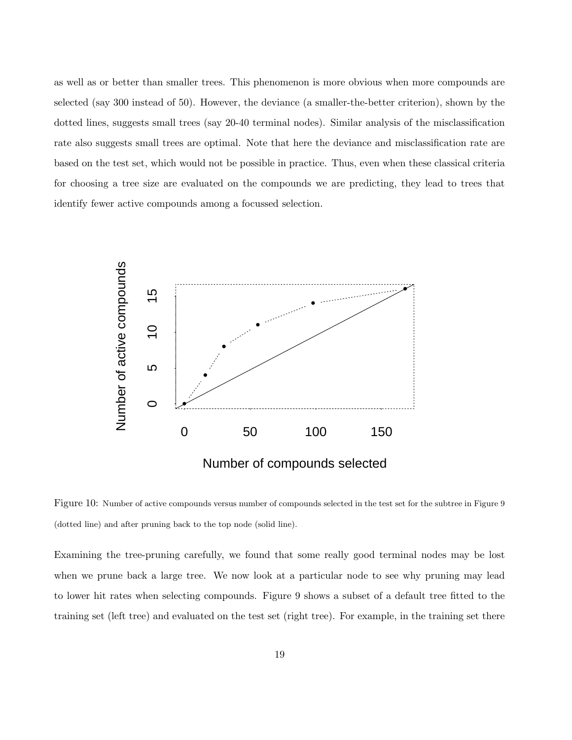as well as or better than smaller trees. This phenomenon is more obvious when more compounds are selected (say 300 instead of 50). However, the deviance (a smaller-the-better criterion), shown by the dotted lines, suggests small trees (say 20-40 terminal nodes). Similar analysis of the misclassification rate also suggests small trees are optimal. Note that here the deviance and misclassification rate are based on the test set, which would not be possible in practice. Thus, even when these classical criteria for choosing a tree size are evaluated on the compounds we are predicting, they lead to trees that identify fewer active compounds among a focussed selection.



Figure 10: Number of active compounds versus number of compounds selected in the test set for the subtree in Figure 9 (dotted line) and after pruning back to the top node (solid line).

Examining the tree-pruning carefully, we found that some really good terminal nodes may be lost when we prune back a large tree. We now look at a particular node to see why pruning may lead to lower hit rates when selecting compounds. Figure 9 shows a subset of a default tree fitted to the training set (left tree) and evaluated on the test set (right tree). For example, in the training set there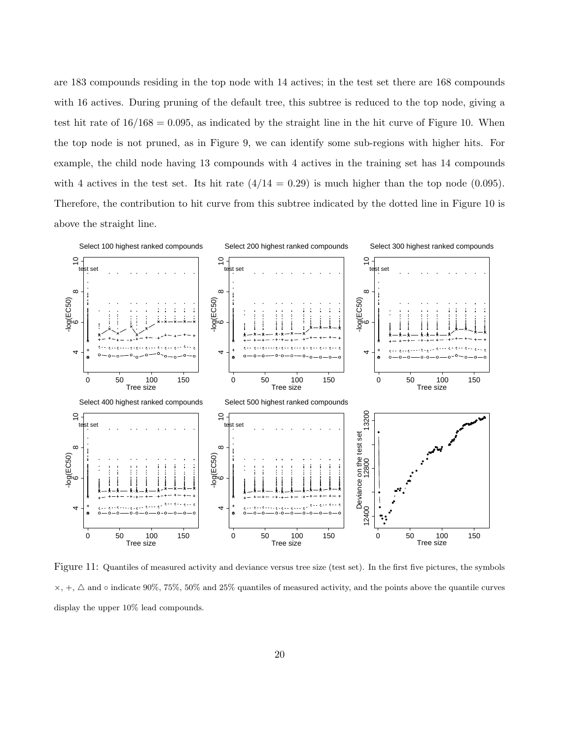are 183 compounds residing in the top node with 14 actives; in the test set there are 168 compounds with 16 actives. During pruning of the default tree, this subtree is reduced to the top node, giving a test hit rate of  $16/168 = 0.095$ , as indicated by the straight line in the hit curve of Figure 10. When the top node is not pruned, as in Figure 9, we can identify some sub-regions with higher hits. For example, the child node having 13 compounds with 4 actives in the training set has 14 compounds with 4 actives in the test set. Its hit rate  $(4/14 = 0.29)$  is much higher than the top node (0.095). Therefore, the contribution to hit curve from this subtree indicated by the dotted line in Figure 10 is above the straight line.



Figure 11: Quantiles of measured activity and deviance versus tree size (test set). In the first five pictures, the symbols  $\times,$   $+,\,\triangle$  and  $\circ$  indicate 90%, 75%, 50% and 25% quantiles of measured activity, and the points above the quantile curves display the upper 10% lead compounds.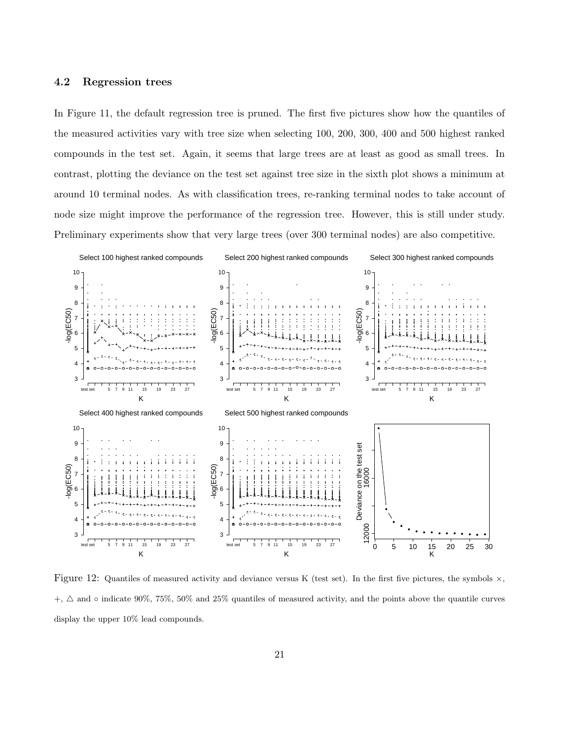### 4.2 Regression trees

In Figure 11, the default regression tree is pruned. The first five pictures show how the quantiles of the measured activities vary with tree size when selecting 100, 200, 300, 400 and 500 highest ranked compounds in the test set. Again, it seems that large trees are at least as good as small trees. In contrast, plotting the deviance on the test set against tree size in the sixth plot shows a minimum at around 10 terminal nodes. As with classification trees, re-ranking terminal nodes to take account of node size might improve the performance of the regression tree. However, this is still under study. Preliminary experiments show that very large trees (over 300 terminal nodes) are also competitive.



Figure 12: Quantiles of measured activity and deviance versus K (test set). In the first five pictures, the symbols  $\times$ ,  $+$ ,  $\Delta$  and  $\circ$  indicate 90%, 75%, 50% and 25% quantiles of measured activity, and the points above the quantile curves display the upper 10% lead compounds.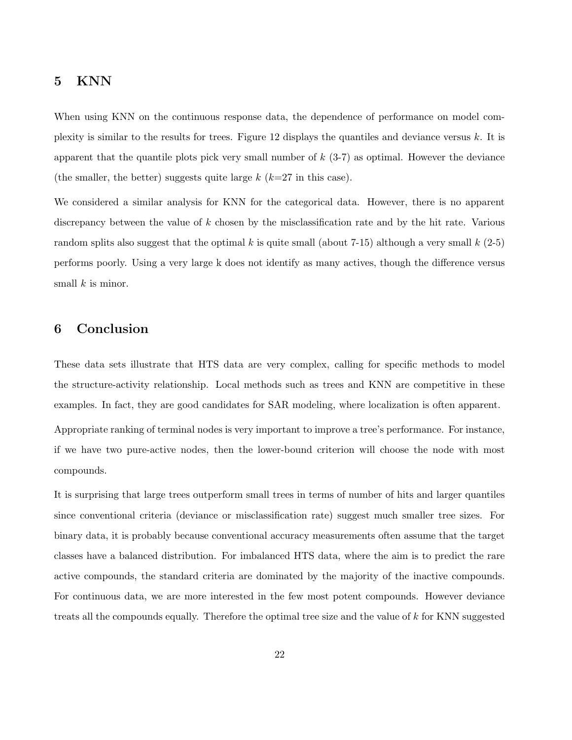# 5 KNN

When using KNN on the continuous response data, the dependence of performance on model complexity is similar to the results for trees. Figure 12 displays the quantiles and deviance versus k. It is apparent that the quantile plots pick very small number of  $k$  (3-7) as optimal. However the deviance (the smaller, the better) suggests quite large  $k$  ( $k=27$  in this case).

We considered a similar analysis for KNN for the categorical data. However, there is no apparent discrepancy between the value of k chosen by the misclassification rate and by the hit rate. Various random splits also suggest that the optimal k is quite small (about 7-15) although a very small  $k$  (2-5) performs poorly. Using a very large k does not identify as many actives, though the difference versus small  $k$  is minor.

## 6 Conclusion

These data sets illustrate that HTS data are very complex, calling for specific methods to model the structure-activity relationship. Local methods such as trees and KNN are competitive in these examples. In fact, they are good candidates for SAR modeling, where localization is often apparent.

Appropriate ranking of terminal nodes is very important to improve a tree's performance. For instance, if we have two pure-active nodes, then the lower-bound criterion will choose the node with most compounds.

It is surprising that large trees outperform small trees in terms of number of hits and larger quantiles since conventional criteria (deviance or misclassification rate) suggest much smaller tree sizes. For binary data, it is probably because conventional accuracy measurements often assume that the target classes have a balanced distribution. For imbalanced HTS data, where the aim is to predict the rare active compounds, the standard criteria are dominated by the majority of the inactive compounds. For continuous data, we are more interested in the few most potent compounds. However deviance treats all the compounds equally. Therefore the optimal tree size and the value of k for KNN suggested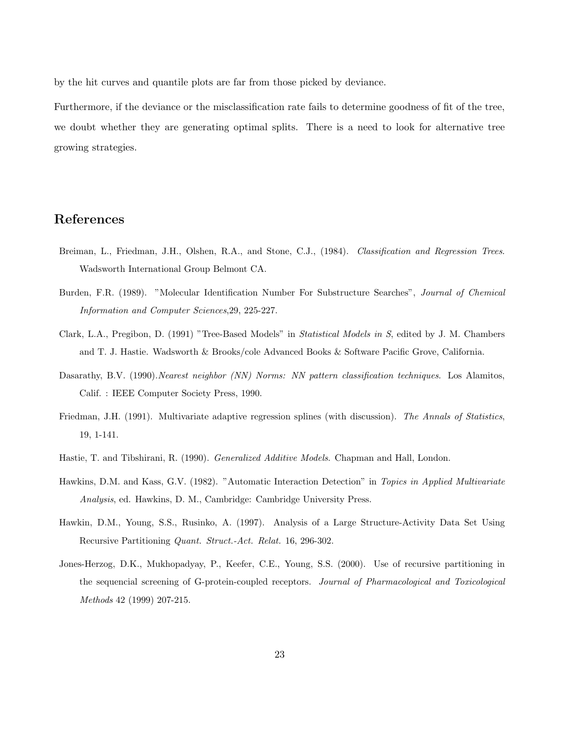by the hit curves and quantile plots are far from those picked by deviance.

Furthermore, if the deviance or the misclassification rate fails to determine goodness of fit of the tree, we doubt whether they are generating optimal splits. There is a need to look for alternative tree growing strategies.

# References

- Breiman, L., Friedman, J.H., Olshen, R.A., and Stone, C.J., (1984). Classification and Regression Trees. Wadsworth International Group Belmont CA.
- Burden, F.R. (1989). "Molecular Identification Number For Substructure Searches", Journal of Chemical Information and Computer Sciences,29, 225-227.
- Clark, L.A., Pregibon, D. (1991) "Tree-Based Models" in Statistical Models in S, edited by J. M. Chambers and T. J. Hastie. Wadsworth & Brooks/cole Advanced Books & Software Pacific Grove, California.
- Dasarathy, B.V. (1990). Nearest neighbor (NN) Norms: NN pattern classification techniques. Los Alamitos, Calif. : IEEE Computer Society Press, 1990.
- Friedman, J.H. (1991). Multivariate adaptive regression splines (with discussion). The Annals of Statistics, 19, 1-141.
- Hastie, T. and Tibshirani, R. (1990). *Generalized Additive Models*. Chapman and Hall, London.
- Hawkins, D.M. and Kass, G.V. (1982). "Automatic Interaction Detection" in Topics in Applied Multivariate Analysis, ed. Hawkins, D. M., Cambridge: Cambridge University Press.
- Hawkin, D.M., Young, S.S., Rusinko, A. (1997). Analysis of a Large Structure-Activity Data Set Using Recursive Partitioning Quant. Struct.-Act. Relat. 16, 296-302.
- Jones-Herzog, D.K., Mukhopadyay, P., Keefer, C.E., Young, S.S. (2000). Use of recursive partitioning in the sequencial screening of G-protein-coupled receptors. Journal of Pharmacological and Toxicological Methods 42 (1999) 207-215.